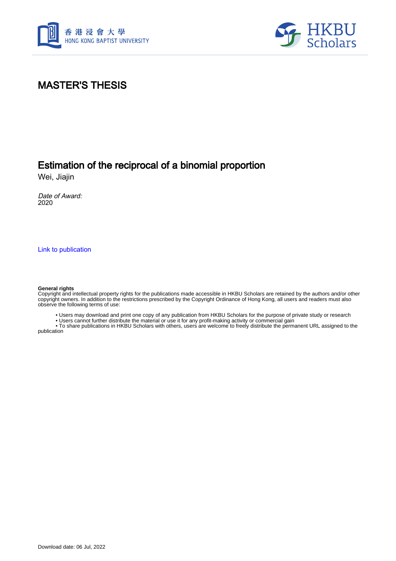



## MASTER'S THESIS

## Estimation of the reciprocal of a binomial proportion

Wei, Jiajin

Date of Award: 2020

[Link to publication](https://scholars.hkbu.edu.hk/en/studentTheses/71fe8577-100a-4923-8c62-21be54622359)

#### **General rights**

Copyright and intellectual property rights for the publications made accessible in HKBU Scholars are retained by the authors and/or other copyright owners. In addition to the restrictions prescribed by the Copyright Ordinance of Hong Kong, all users and readers must also observe the following terms of use:

• Users may download and print one copy of any publication from HKBU Scholars for the purpose of private study or research

• Users cannot further distribute the material or use it for any profit-making activity or commercial gain

 • To share publications in HKBU Scholars with others, users are welcome to freely distribute the permanent URL assigned to the publication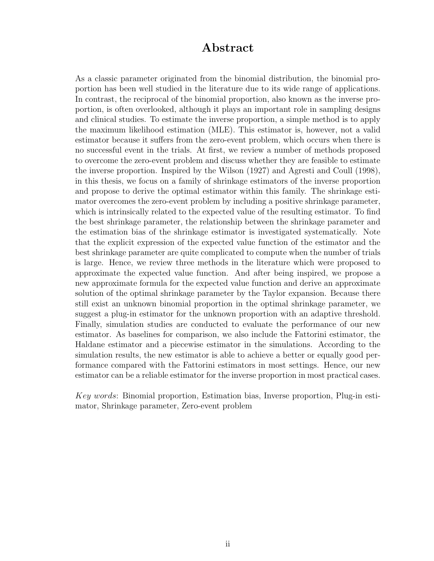### Abstract

As a classic parameter originated from the binomial distribution, the binomial proportion has been well studied in the literature due to its wide range of applications. In contrast, the reciprocal of the binomial proportion, also known as the inverse proportion, is often overlooked, although it plays an important role in sampling designs and clinical studies. To estimate the inverse proportion, a simple method is to apply the maximum likelihood estimation (MLE). This estimator is, however, not a valid estimator because it suffers from the zero-event problem, which occurs when there is no successful event in the trials. At first, we review a number of methods proposed to overcome the zero-event problem and discuss whether they are feasible to estimate the inverse proportion. Inspired by the Wilson (1927) and Agresti and Coull (1998), in this thesis, we focus on a family of shrinkage estimators of the inverse proportion and propose to derive the optimal estimator within this family. The shrinkage estimator overcomes the zero-event problem by including a positive shrinkage parameter, which is intrinsically related to the expected value of the resulting estimator. To find the best shrinkage parameter, the relationship between the shrinkage parameter and the estimation bias of the shrinkage estimator is investigated systematically. Note that the explicit expression of the expected value function of the estimator and the best shrinkage parameter are quite complicated to compute when the number of trials is large. Hence, we review three methods in the literature which were proposed to approximate the expected value function. And after being inspired, we propose a new approximate formula for the expected value function and derive an approximate solution of the optimal shrinkage parameter by the Taylor expansion. Because there still exist an unknown binomial proportion in the optimal shrinkage parameter, we suggest a plug-in estimator for the unknown proportion with an adaptive threshold. Finally, simulation studies are conducted to evaluate the performance of our new estimator. As baselines for comparison, we also include the Fattorini estimator, the Haldane estimator and a piecewise estimator in the simulations. According to the simulation results, the new estimator is able to achieve a better or equally good performance compared with the Fattorini estimators in most settings. Hence, our new estimator can be a reliable estimator for the inverse proportion in most practical cases.

*Key words*: Binomial proportion, Estimation bias, Inverse proportion, Plug-in estimator, Shrinkage parameter, Zero-event problem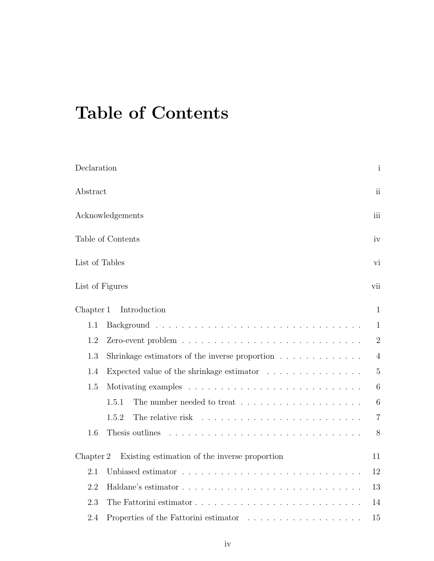# Table of Contents

| Declaration                                                                           | $\mathbf{i}$   |
|---------------------------------------------------------------------------------------|----------------|
| Abstract                                                                              | ii             |
| Acknowledgements                                                                      | iii            |
| Table of Contents                                                                     | iv             |
| List of Tables                                                                        | vi             |
| List of Figures                                                                       | vii            |
| Introduction<br>Chapter 1                                                             | $\mathbf{1}$   |
| 1.1                                                                                   | 1              |
| 1.2                                                                                   | $\overline{2}$ |
| 1.3<br>Shrinkage estimators of the inverse proportion $\ldots \ldots \ldots \ldots$   | $\overline{4}$ |
| Expected value of the shrinkage estimator $\ldots \ldots \ldots \ldots \ldots$<br>1.4 | $\overline{5}$ |
| 1.5                                                                                   | 6              |
| 1.5.1                                                                                 | 6              |
| 1.5.2                                                                                 | $\overline{7}$ |
| 1.6<br>Thesis outlines                                                                | 8              |
| Existing estimation of the inverse proportion<br>Chapter 2                            | 11             |
| 2.1                                                                                   | 12             |
| 2.2                                                                                   | 13             |
| 2.3                                                                                   | 14             |
| 2.4<br>Properties of the Fattorini estimator                                          | 15             |